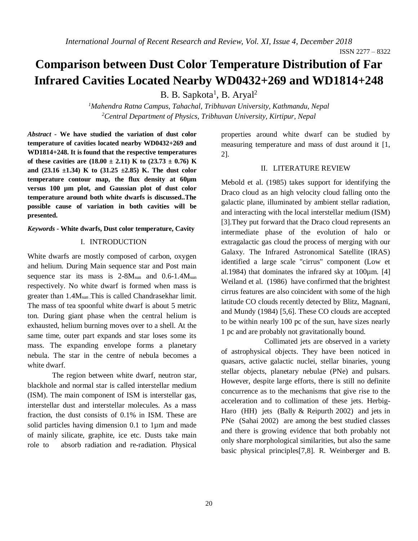# **Comparison between Dust Color Temperature Distribution of Far Infrared Cavities Located Nearby WD0432+269 and WD1814+248**

B. B. Sapkota<sup>1</sup>, B. Aryal<sup>2</sup>

*<sup>1</sup>Mahendra Ratna Campus, Tahachal, Tribhuvan University, Kathmandu, Nepal <sup>2</sup>Central Department of Physics, Tribhuvan University, Kirtipur, Nepal*

*Abstract* **- We have studied the variation of dust color temperature of cavities located nearby WD0432+269 and WD1814+248. It is found that the respective temperatures**  of these cavities are  $(18.00 \pm 2.11)$  K to  $(23.73 \pm 0.76)$  K **and (23.16 ±1.34) K to (31.25 ±2.85) K. The dust color temperature contour map, the flux density at 60µm versus 100 µm plot, and Gaussian plot of dust color temperature around both white dwarfs is discussed..The possible cause of variation in both cavities will be presented.** 

#### *Keywords* **- White dwarfs, Dust color temperature, Cavity**

#### I. INTRODUCTION

White dwarfs are mostly composed of carbon, oxygen and helium. During Main sequence star and Post main sequence star its mass is  $2-8M<sub>sun</sub>$  and  $0.6-1.4M<sub>sun</sub>$ respectively. No white dwarf is formed when mass is greater than 1.4M<sub>sun</sub> This is called Chandrasekhar limit. The mass of tea spoonful white dwarf is about 5 metric ton. During giant phase when the central helium is exhausted, helium burning moves over to a shell. At the same time, outer part expands and star loses some its mass. The expanding envelope forms a planetary nebula. The star in the centre of nebula becomes a white dwarf.

The region between white dwarf, neutron star, blackhole and normal star is called interstellar medium (ISM). The main component of ISM is interstellar gas, interstellar dust and interstellar molecules. As a mass fraction, the dust consists of 0.1% in ISM. These are solid particles having dimension 0.1 to 1µm and made of mainly silicate, graphite, ice etc. Dusts take main role to absorb radiation and re-radiation. Physical properties around white dwarf can be studied by measuring temperature and mass of dust around it [1, 2].

### II. LITERATURE REVIEW

Mebold et al. (1985) takes support for identifying the Draco cloud as an high velocity cloud falling onto the galactic plane, illuminated by ambient stellar radiation, and interacting with the local interstellar medium (ISM) [3].They put forward that the Draco cloud represents an intermediate phase of the evolution of halo or extragalactic gas cloud the process of merging with our Galaxy. The Infrared Astronomical Satellite (IRAS) identified a large scale "cirrus" component (Low et al.1984) that dominates the infrared sky at 100µm. [4] Weiland et al. (1986) have confirmed that the brightest cirrus features are also coincident with some of the high latitude CO clouds recently detected by Blitz, Magnani, and Mundy (1984) [5,6]. These CO clouds are accepted to be within nearly 100 pc of the sun, have sizes nearly 1 pc and are probably not gravitationally bound.

 Collimated jets are observed in a variety of astrophysical objects. They have been noticed in quasars, active galactic nuclei, stellar binaries, young stellar objects, planetary nebulae (PNe) and pulsars. However, despite large efforts, there is still no definite concurrence as to the mechanisms that give rise to the acceleration and to collimation of these jets. Herbig-Haro (HH) jets (Bally & Reipurth 2002) and jets in PNe (Sahai 2002) are among the best studied classes and there is growing evidence that both probably not only share morphological similarities, but also the same basic physical principles[7,8]. R. Weinberger and B.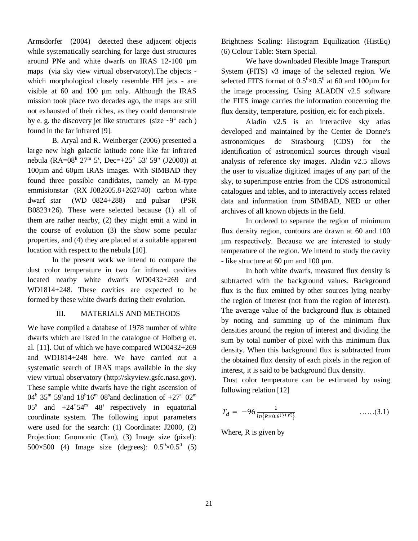Armsdorfer (2004) detected these adjacent objects while systematically searching for large dust structures around PNe and white dwarfs on IRAS 12-100 µm maps (via sky view virtual observatory).The objects which morphological closely resemble HH jets - are visible at 60 and 100 µm only. Although the IRAS mission took place two decades ago, the maps are still not exhausted of their riches, as they could demonstrate by e. g. the discovery jet like structures (size  $\sim 9^{\circ}$  each) found in the far infrared [9].

B. Aryal and R. Weinberger (2006) presented a large new high galactic latitude cone like far infrared nebula (RA= $08^{\text{h}}$   $27^{\text{m}}$  5<sup>s</sup>, Dec= $+25^{\circ}$  53' 59" (J2000)) at 100µm and 60µm IRAS images. With SIMBAD they found three possible candidates, namely an M-type emmisionstar (RX J082605.8+262740) carbon white dwarf star (WD 0824+288) and pulsar (PSR B0823+26). These were selected because (1) all of them are rather nearby, (2) they might emit a wind in the course of evolution (3) the show some pecular properties, and (4) they are placed at a suitable apparent location with respect to the nebula [10].

In the present work we intend to compare the dust color temperature in two far infrared cavities located nearby white dwarfs WD0432+269 and WD1814+248. These cavities are expected to be formed by these white dwarfs during their evolution.

## III. MATERIALS AND METHODS

We have compiled a database of 1978 number of white dwarfs which are listed in the catalogue of Holberg et. al. [11]. Out of which we have compared WD0432+269 and WD1814+248 here. We have carried out a systematic search of IRAS maps available in the sky view virtual observatory (http://skyview.gsfc.nasa.gov). These sample white dwarfs have the right ascension of 04<sup>h</sup> 35<sup>m</sup> 59<sup>s</sup> and 18<sup>h</sup>16<sup>m</sup> 08<sup>s</sup> and declination of +27<sup>o</sup> 02<sup>m</sup> 05<sup>s</sup> and  $+24^{\circ}54^{\circ}$  48<sup>s</sup> respectively in equatorial coordinate system. The following input parameters were used for the search: (1) Coordinate: J2000, (2) Projection: Gnomonic (Tan), (3) Image size (pixel): 500×500 (4) Image size (degrees):  $0.5^0 \times 0.5^0$  (5)

Brightness Scaling: Histogram Equilization (HistEq) (6) Colour Table: Stern Special.

We have downloaded Flexible Image Transport System (FITS) v3 image of the selected region. We selected FITS format of  $0.5^{\circ} \times 0.5^{\circ}$  at 60 and 100 $\mu$ m for the image processing. Using ALADIN v2.5 software the FITS image carries the information concerning the flux density, temperature, position, etc for each pixels.

Aladin v2.5 is an interactive sky atlas developed and maintained by the Center de Donne's astronomiques de Strasbourg (CDS) for the identification of astronomical sources through visual analysis of reference sky images. Aladin v2.5 allows the user to visualize digitized images of any part of the sky, to superimpose entries from the CDS astronomical catalogues and tables, and to interactively access related data and information from SIMBAD, NED or other archives of all known objects in the field.

In ordered to separate the region of minimum flux density region, contours are drawn at 60 and 100 μm respectively. Because we are interested to study temperature of the region. We intend to study the cavity - like structure at 60 µm and 100 µm.

In both white dwarfs, measured flux density is subtracted with the background values. Background flux is the flux emitted by other sources lying nearby the region of interest (not from the region of interest). The average value of the background flux is obtained by noting and summing up of the minimum flux densities around the region of interest and dividing the sum by total number of pixel with this minimum flux density. When this background flux is subtracted from the obtained flux density of each pixels in the region of interest, it is said to be background flux density.

Dust color temperature can be estimated by using following relation [12]

$$
T_d = -96 \frac{1}{\ln\{R \times 0.6^{(3+\beta)}\}} \qquad \qquad \dots \dots (3.1)
$$

Where, R is given by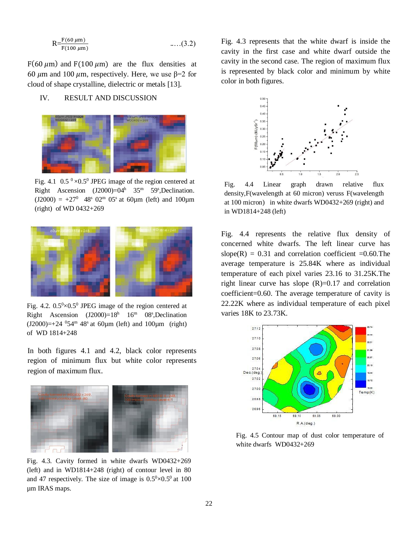$$
R = \frac{F(60 \mu m)}{F(100 \mu m)} \qquad \qquad \dots (3.2)
$$

F(60  $\mu$ m) and F(100  $\mu$ m) are the flux densities at 60  $\mu$ m and 100  $\mu$ m, respectively. Here, we use β=2 for cloud of shape crystalline, dielectric or metals [13].

## IV. RESULT AND DISCUSSION



Fig. 4.1  $0.5^{\circ} \times 0.5^{\circ}$  JPEG image of the region centered at Right Ascension  $(J2000)=04<sup>h</sup>$  35<sup>m</sup> 59<sup>s</sup>, Declination.  $(J2000) = +27^{\circ}$  48° 02<sup>m</sup> 05° at 60µm (left) and 100µm (right) of WD 0432+269



Fig. 4.2.  $0.5^{\circ} \times 0.5^{\circ}$  JPEG image of the region centered at Right Ascension  $(J2000)=18<sup>h</sup>$  16<sup>m</sup> 08<sup>s</sup>, Declination  $(J2000)=+24$  <sup>0</sup>54<sup>m</sup> 48<sup>s</sup> at 60<sub>km</sub> (left) and 100<sub>km</sub> (right) of WD 1814+248

In both figures 4.1 and 4.2, black color represents region of minimum flux but white color represents region of maximum flux.



Fig. 4.3. Cavity formed in white dwarfs WD0432+269 (left) and in WD1814+248 (right) of contour level in 80 and 47 respectively. The size of image is  $0.5^{\circ} \times 0.5^{\circ}$  at 100 µm IRAS maps.

Fig. 4.3 represents that the white dwarf is inside the cavity in the first case and white dwarf outside the cavity in the second case. The region of maximum flux is represented by black color and minimum by white color in both figures.



Fig. 4.4 Linear graph drawn relative flux density,F(wavelength at 60 micron) veruss F(wavelength at 100 micron) in white dwarfs WD0432+269 (right) and in WD1814+248 (left)

Fig. 4.4 represents the relative flux density of concerned white dwarfs. The left linear curve has slope(R) =  $0.31$  and correlation coefficient =0.60. The average temperature is 25.84K where as individual temperature of each pixel varies 23.16 to 31.25K.The right linear curve has slope  $(R)=0.17$  and correlation coefficient=0.60. The average temperature of cavity is 22.22K where as individual temperature of each pixel varies 18K to 23.73K.



Fig. 4.5 Contour map of dust color temperature of white dwarfs WD0432+269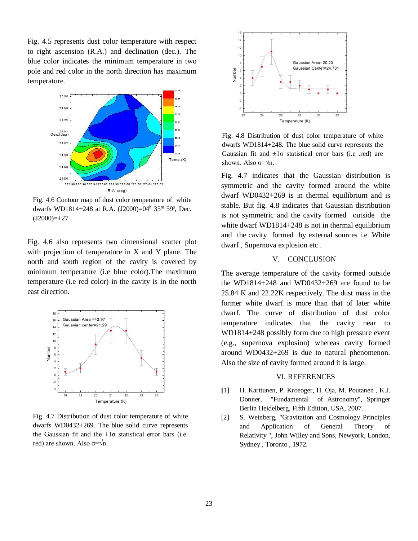Fig. 4.5 represents dust color temperature with respect to right ascension (R.A.) and declination (dec.). The blue color indicates the minimum temperature in two pole and red color in the north direction has maximum temperature.



Fig. 4.6 Contour map of dust color temperature of white dwarfs WD1814+248 at R.A. (J2000)=04<sup>h</sup> 35<sup>m</sup> 59<sup>s</sup>, Dec.  $(J2000)=+27$ 

Fig. 4.6 also represents two dimensional scatter plot with projection of temperature in X and Y plane. The north and south region of the cavity is covered by minimum temperature (i.e blue color).The maximum temperature (i.e red color) in the cavity is in the north east direction.



Fig. 4.7 Distribution of dust color temperature of white dwarfs WD0432+269. The blue solid curve represents the Gaussian fit and the  $\pm 1\sigma$  statistical error bars (i.e. red) are shown. Also  $\sigma = \sqrt{n}$ .



Fig. 4.8 Distribution of dust color temperature of white dwarfs WD1814+248. The blue solid curve represents the Gaussian fit and  $\pm 1\sigma$  statistical error bars (i.e .red) are shown. Also  $\sigma = \sqrt{n}$ .

Fig. 4.7 indicates that the Gaussian distribution is symmetric and the cavity formed around the white dwarf WD0432+269 is in thermal equilibrium and is stable. But fig. 4.8 indicates that Gaussian distribution is not symmetric and the cavity formed outside the white dwarf WD1814+248 is not in thermal equilibrium and the cavity formed by external sources i.e. White dwarf , Supernova explosion etc .

## V. CONCLUSION

The average temperature of the cavity formed outside the WD1814+248 and WD0432+269 are found to be 25.84 K and 22.22K respectively. The dust mass in the former white dwarf is more than that of later white dwarf. The curve of distribution of dust color temperature indicates that the cavity near to WD1814+248 possibly form due to high pressure event (e.g., supernova explosion) whereas cavity formed around WD0432+269 is due to natural phenomenon. Also the size of cavity formed around it is large.

#### VI. REFERENCES

- **[**1] H. Karttunen, P. Kroeoger, H. Oja, M. Poutanen , K.J. Donner, "Fundamental of Astronomy", Springer Berlin Heidelberg, Fifth Edition, USA, 2007.
- [2] S. Weinberg, "Gravitation and Cosmology Principles and Application of General Theory of Relativity ", John Willey and Sons, Newyork, London, Sydney , Toronto , 1972.